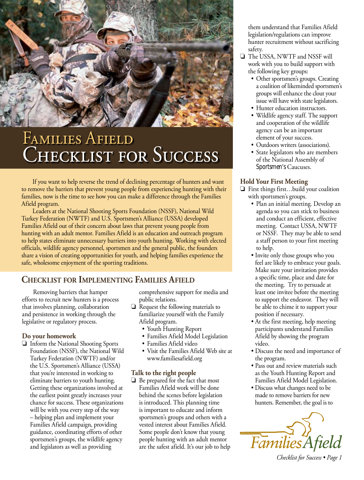

# Families Afield CHECKLIST FOR SUCCESS

If you want to help reverse the trend of declining percentage of hunters and want to remove the barriers that prevent young people from experiencing hunting with their families, now is the time to see how you can make a difference through the Families Afield program.

Leaders at the National Shooting Sports Foundation (NSSF), National Wild Turkey Federation (NWTF) and U.S. Sportsmen's Alliance (USSA) developed Families Afield out of their concern about laws that prevent young people from hunting with an adult mentor. Families Afield is an education and outreach program to help states eliminate unnecessary barriers into youth hunting. Working with elected officials, wildlife agency personnel, sportsmen and the general public, the founders share a vision of creating opportunities for youth, and helping families experience the safe, wholesome enjoyment of the sporting traditions.

## **Checklist for Implementing Families Afield**

Removing barriers that hamper efforts to recruit new hunters is a process that involves planning, collaboration and persistence in working through the legislative or regulatory process.

#### **Do your homework**

 $\Box$  Inform the National Shooting Sports Foundation (NSSF), the National Wild Turkey Federation (NWTF) and/or the U.S. Sportsmen's Alliance (USSA) that you're interested in working to eliminate barriers to youth hunting. Getting these organizations involved at the earliest point greatly increases your chance for success. These organizations will be with you every step of the way – helping plan and implement your Families Afield campaign, providing guidance, coordinating efforts of other sportsmen's groups, the wildlife agency and legislators as well as providing

comprehensive support for media and public relations.

- $\Box$  Request the following materials to familiarize yourself with the Family Afield program.
	- Youth Hunting Report
	- Families Afield Model Legislation
	- Families Afield video
	- Visit the Families Afield Web site at www.familiesafield.org

#### **Talk to the right people**

 $\Box$  Be prepared for the fact that most Families Afield work will be done behind the scenes before legislation is introduced. This planning time is important to educate and inform sportsmen's groups and others with a vested interest about Families Afield. Some people don't know that young people hunting with an adult mentor are the safest afield. It's our job to help

them understand that Families Afield legislation/regulations can improve hunter recruitment without sacrificing safety.

- The USSA, NWTF and NSSF will work with you to build support with the following key groups:
	- Other sportsmen's groups. Creating a coalition of likeminded sportsmen's groups will enhance the clout your issue will have with state legislators.
	- Hunter education instructors.
	- Wildlife agency staff. The support and cooperation of the wildlife agency can be an important element of your success.
	- Outdoors writers (associations).
	- State legislators who are members of the National Assembly of Sportsmen's Caucuses.

#### **Hold Your First Meeting**

- $\Box$  First things first...build your coalition with sportsmen's groups.
	- Plan an initial meeting. Develop an agenda so you can stick to business and conduct an efficient, effective meeting. Contact USSA, NWTF or NSSF. They may be able to send a staff person to your first meeting to help.
	- Invite only those groups who you feel are likely to embrace your goals. Make sure your invitation provides a specific time, place and date for the meeting. Try to persuade at least one invitee before the meeting to support the endeavor. They will be able to chime it to support your position if necessary.
	- At the first meeting, help meeting participants understand Families Afield by showing the program video.
	- Discuss the need and importance of the program.
	- Pass out and review materials such as the Youth Hunting Report and Families Afield Model Legislation.
	- Discuss what changes need to be made to remove barriers for new hunters. Remember, the goal is to



*Checklist for Success • Page 1*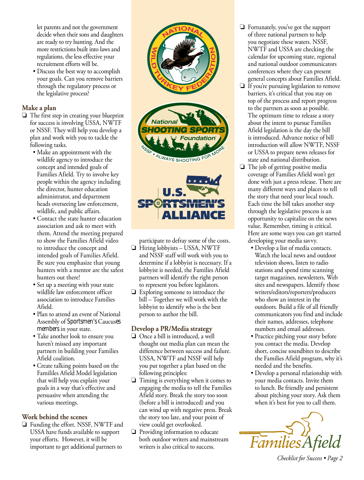let parents and not the government decide when their sons and daughters are ready to try hunting. And the more restrictions built into laws and regulations, the less effective your recruitment efforts will be.

• Discuss the best way to accomplish your goals. Can you remove barriers through the regulatory process or the legislative process?

#### **Make a plan**

- $\Box$  The first step in creating your blueprint for success is involving USSA, NWTF or NSSF. They will help you develop a plan and work with you to tackle the following tasks.
	- Make an appointment with the wildlife agency to introduce the concept and intended goals of Families Afield. Try to involve key people within the agency including the director, hunter education administrator, and department heads overseeing law enforcement, wildlife, and public affairs.
	- Contact the state hunter education association and ask to meet with them. Attend the meeting prepared to show the Families Afield video to introduce the concept and intended goals of Families Afield. Be sure you emphasize that young hunters with a mentor are the safest hunters out there!
	- Set up a meeting with your state wildlife law enforcement officer association to introduce Families Afield.
	- Plan to attend an event of National Assembly of Sportsmen's Caucuses members in your state.
	- Take another look to ensure you haven't missed any important partners in building your Families Afield coalition.
	- Create talking points based on the Famililes Afield Model legislation that will help you explain your goals in a way that's effective and persuasive when attending the various meetings.

#### **Work behind the scenes**

 $\Box$  Funding the effort. NSSF, NWTF and USSA have funds available to support your efforts. However, it will be important to get additional partners to



participate to defray some of the costs.

- $\Box$  Hiring lobbyists USSA, NWTF and NSSF staff will work with you to determine if a lobbyist is necessary. If a lobbyist is needed, the Families Afield partners will identify the right person to represent you before legislators.
- $\Box$  Exploring someone to introduce the bill – Together we will work with the lobbyist to identify who is the best person to author the bill.

#### **Develop a PR/Media strategy**

- $\Box$  Once a bill is introduced, a well thought out media plan can mean the difference between success and failure. USSA, NWTF and NSSF will help you put together a plan based on the following principles:
- $\Box$  Timing is everything when it comes to engaging the media to tell the Families Afield story. Break the story too soon (before a bill is introduced) and you can wind up with negative press. Break the story too late, and your point of view could get overlooked.
- $\Box$  Providing information to educate both outdoor writers and mainstream writers is also critical to success.
- $\Box$  Fortunately, you've got the support of three national partners to help you negotiate these waters. NSSF, NWTF and USSA are checking the calendar for upcoming state, regional and national outdoor communicators conferences where they can present general concepts about Families Afield.
- $\Box$  If you're pursuing legislation to remove barriers, it's critical that you stay on top of the process and report progress to the partners as soon as possible. The optimum time to release a story about the intent to pursue Families Afield legislation is the day the bill is introduced. Advance notice of bill introduction will allow NWTF, NSSF or USSA to prepare news releases for state and national distribution.
- $\Box$  The job of getting positive media coverage of Families Afield won't get done with just a press release. There are many different ways and places to tell the story that need your local touch. Each time the bill takes another step through the legislative process is an opportunity to capitalize on the news value. Remember, timing is critical. Here are some ways you can get started developing your media savvy.
	- Develop a list of media contacts. Watch the local news and outdoor television shows, listen to radio stations and spend time scanning target magazines, newsletters, Web sites and newspapers. Identify those writers/editors/reporters/producers who show an interest in the outdoors. Build a file of all friendly communicators you find and include their names, addresses, telephone numbers and email addresses.
	- Practice pitching your story before you contact the media. Develop short, concise soundbites to describe the Families Afield program, why it's needed and the benefits.
	- Develop a personal relationship with your media contacts. Invite them to lunch. Be friendly and persistent about pitching your story. Ask them when it's best for you to call them.



*Checklist for Success • Page 2*